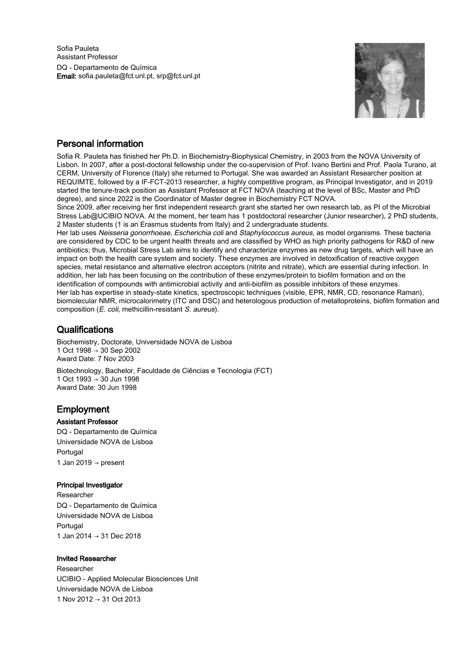

# Personal information

Sofia R. Pauleta has finished her Ph.D. in Biochemistry-Biophysical Chemistry, in 2003 from the NOVA University of Lisbon. In 2007, after a post-doctoral fellowship under the co-supervision of Prof. Ivano Bertini and Prof. Paola Turano, at CERM, University of Florence (Italy) she returned to Portugal. She was awarded an Assistant Researcher position at REQUIMTE, followed by a IF-FCT-2013 researcher, a highly competitive program, as Principal Investigator, and in 2019 started the tenure-track position as Assistant Professor at FCT NOVA (teaching at the level of BSc, Master and PhD degree), and since 2022 is the Coordinator of Master degree in Biochemistry FCT NOVA.

Since 2009, after receiving her first independent research grant she started her own research lab, as PI of the Microbial Stress Lab@UCIBIO NOVA. At the moment, her team has 1 postdoctoral researcher (Junior researcher), 2 PhD students, 2 Master students (1 is an Erasmus students from Italy) and 2 undergraduate students.

Her lab uses Neisseria gonorrhoeae, Escherichia coli and Staphylococcus aureus, as model organisms. These bacteria are considered by CDC to be urgent health threats and are classified by WHO as high priority pathogens for R&D of new antibiotics; thus, Microbial Stress Lab aims to identify and characterize enzymes as new drug targets, which will have an impact on both the health care system and society. These enzymes are involved in detoxification of reactive oxygen species, metal resistance and alternative electron acceptors (nitrite and nitrate), which are essential during infection. In addition, her lab has been focusing on the contribution of these enzymes/protein to biofilm formation and on the identification of compounds with antimicrobial activity and anti-biofilm as possible inhibitors of these enzymes. Her lab has expertise in steady-state kinetics, spectroscopic techniques (visible, EPR, NMR, CD, resonance Raman), biomolecular NMR, microcalorimetry (ITC and DSC) and heterologous production of metalloproteins, biofilm formation and composition (E. coli, methicillin-resistant S. aureus).

## **Qualifications**

Biochemistry, Doctorate, Universidade NOVA de Lisboa 1 Oct 1998 → 30 Sep 2002 Award Date: 7 Nov 2003

Biotechnology, Bachelor, Faculdade de Ciências e Tecnologia (FCT) 1 Oct 1993 → 30 Jun 1998 Award Date: 30 Jun 1998

# Employment

## Assistant Professor

DQ - Departamento de Química Universidade NOVA de Lisboa Portugal 1 Jan 2019  $\rightarrow$  present

## Principal Investigator

Researcher DQ - Departamento de Química Universidade NOVA de Lisboa Portugal 1 Jan 2014 → 31 Dec 2018

## Invited Researcher

Researcher UCIBIO - Applied Molecular Biosciences Unit Universidade NOVA de Lisboa 1 Nov 2012 → 31 Oct 2013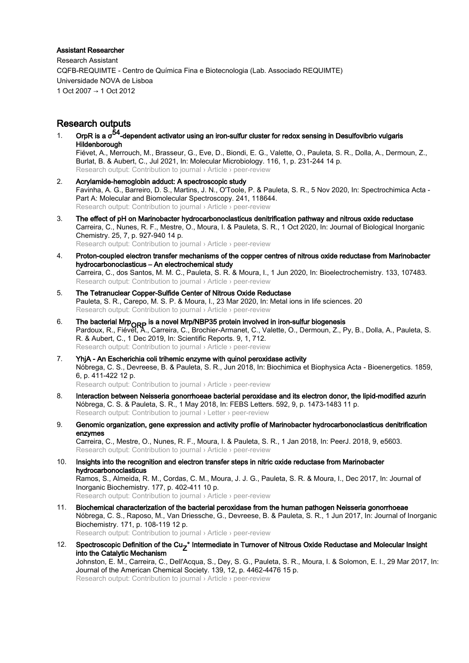#### Assistant Researcher

Research Assistant CQFB-REQUIMTE - Centro de Química Fina e Biotecnologia (Lab. Associado REQUIMTE) Universidade NOVA de Lisboa 1 Oct 2007 → 1 Oct 2012

## Research outputs

- 1. OrpR is a  $\sigma^{54}$ -dependent activator using an iron-sulfur cluster for redox sensing in Desulfovibrio vulgaris Hildenborough Fiévet, A., Merrouch, M., Brasseur, G., Eve, D., Biondi, E. G., Valette, O., Pauleta, S. R., Dolla, A., Dermoun, Z., Burlat, B. & Aubert, C., Jul 2021, In: Molecular Microbiology. 116, 1, p. 231-244 14 p. Research output: Contribution to journal › Article › peer-review
- 2. Acrylamide-hemoglobin adduct: A spectroscopic study Favinha, A. G., Barreiro, D. S., Martins, J. N., O'Toole, P. & Pauleta, S. R., 5 Nov 2020, In: Spectrochimica Acta - Part A: Molecular and Biomolecular Spectroscopy. 241, 118644. Research output: Contribution to journal › Article › peer-review
- 3. The effect of pH on Marinobacter hydrocarbonoclasticus denitrification pathway and nitrous oxide reductase Carreira, C., Nunes, R. F., Mestre, O., Moura, I. & Pauleta, S. R., 1 Oct 2020, In: Journal of Biological Inorganic Chemistry. 25, 7, p. 927-940 14 p. Research output: Contribution to journal › Article › peer-review
- 4. Proton-coupled electron transfer mechanisms of the copper centres of nitrous oxide reductase from Marinobacter hydrocarbonoclasticus – An electrochemical study Carreira, C., dos Santos, M. M. C., Pauleta, S. R. & Moura, I., 1 Jun 2020, In: Bioelectrochemistry. 133, 107483. Research output: Contribution to journal › Article › peer-review
- 5. The Tetranuclear Copper-Sulfide Center of Nitrous Oxide Reductase Pauleta, S. R., Carepo, M. S. P. & Moura, I., 23 Mar 2020, In: Metal ions in life sciences. 20 Research output: Contribution to journal › Article › peer-review
- 6. **The bacterial Mrp<sub>ORP</sub> is a novel Mrp/NBP35 protein involved in iron-sulfur biogenesis**<br>Pardoux, R., Fiévet, A., Carreira, C., Brochier-Armanet, C., Valette, O., Dermoun, Z., Py, B., Dolla, A., Pauleta, S. R. & Aubert, C., 1 Dec 2019, In: Scientific Reports. 9, 1, 712. Research output: Contribution to journal › Article › peer-review
- 7. YhjA An Escherichia coli trihemic enzyme with quinol peroxidase activity Nóbrega, C. S., Devreese, B. & Pauleta, S. R., Jun 2018, In: Biochimica et Biophysica Acta - Bioenergetics. 1859, 6, p. 411-422 12 p. Research output: Contribution to journal › Article › peer-review
- 8. Interaction between Neisseria gonorrhoeae bacterial peroxidase and its electron donor, the lipid-modified azurin Nóbrega, C. S. & Pauleta, S. R., 1 May 2018, In: FEBS Letters. 592, 9, p. 1473-1483 11 p. Research output: Contribution to journal › Letter › peer-review
- 9. Genomic organization, gene expression and activity profile of Marinobacter hydrocarbonoclasticus denitrification enzymes Carreira, C., Mestre, O., Nunes, R. F., Moura, I. & Pauleta, S. R., 1 Jan 2018, In: PeerJ. 2018, 9, e5603. Research output: Contribution to journal › Article › peer-review
- 10. Insights into the recognition and electron transfer steps in nitric oxide reductase from Marinobacter hydrocarbonoclasticus Ramos, S., Almeida, R. M., Cordas, C. M., Moura, J. J. G., Pauleta, S. R. & Moura, I., Dec 2017, In: Journal of Inorganic Biochemistry. 177, p. 402-411 10 p. Research output: Contribution to journal › Article › peer-review
- 11. Biochemical characterization of the bacterial peroxidase from the human pathogen Neisseria gonorrhoeae Nóbrega, C. S., Raposo, M., Van Driessche, G., Devreese, B. & Pauleta, S. R., 1 Jun 2017, In: Journal of Inorganic Biochemistry. 171, p. 108-119 12 p. Research output: Contribution to journal › Article › peer-review
- 12. Spectroscopic Definition of the Cu<sub>Z</sub>° Intermediate in Turnover of Nitrous Oxide Reductase and Molecular Insight<br>http://www.fishankia.Masharitary.com/ into the Catalytic Mechanism Johnston, E. M., Carreira, C., Dell'Acqua, S., Dey, S. G., Pauleta, S. R., Moura, I. & Solomon, E. I., 29 Mar 2017, In: Journal of the American Chemical Society. 139, 12, p. 4462-4476 15 p. Research output: Contribution to journal › Article › peer-review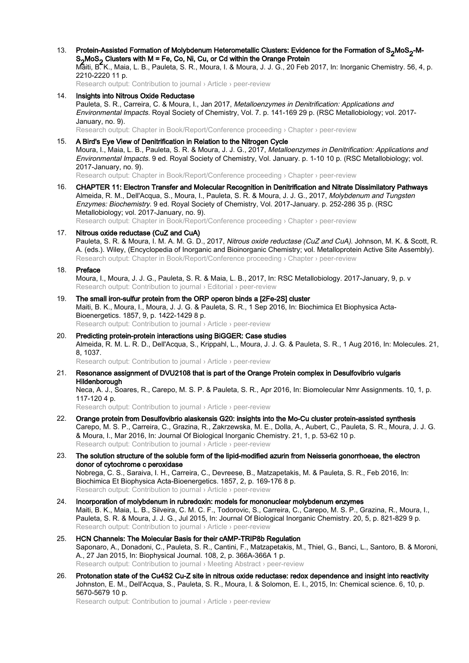13. Protein-Assisted Formation of Molybdenum Heterometallic Clusters: Evidence for the Formation of S<sub>2</sub>MoS<sub>2</sub>-M-<br>- 2 MeS<sub>2</sub> Slugters with M = Fs Os Ni Ou se Od within the Oregans Pertain S<sub>2</sub>MoS<sub>2</sub> Clusters with M = Fe, Co, Ni, Cu, or Cd within the Orange Protein Maiti, B. K., Maia, L. B., Pauleta, S. R., Moura, I. & Moura, J. J. G., 20 Feb 2017, In: Inorganic Chemistry. 56, 4, p. 2210-2220 11 p.

Research output: Contribution to journal › Article › peer-review

14. Insights into Nitrous Oxide Reductase Pauleta, S. R., Carreira, C. & Moura, I., Jan 2017, Metalloenzymes in Denitrification: Applications and Environmental Impacts. Royal Society of Chemistry, Vol. 7. p. 141-169 29 p. (RSC Metallobiology; vol. 2017- January, no. 9).

Research output: Chapter in Book/Report/Conference proceeding › Chapter › peer-review

- 15. A Bird's Eye View of Denitrification in Relation to the Nitrogen Cycle Moura, I., Maia, L. B., Pauleta, S. R. & Moura, J. J. G., 2017, Metalloenzymes in Denitrification: Applications and Environmental Impacts. 9 ed. Royal Society of Chemistry, Vol. January. p. 1-10 10 p. (RSC Metallobiology; vol. 2017-January, no. 9). Research output: Chapter in Book/Report/Conference proceeding › Chapter › peer-review
- 16. CHAPTER 11: Electron Transfer and Molecular Recognition in Denitrification and Nitrate Dissimilatory Pathways Almeida, R. M., Dell'Acqua, S., Moura, I., Pauleta, S. R. & Moura, J. J. G., 2017, Molybdenum and Tungsten Enzymes: Biochemistry. 9 ed. Royal Society of Chemistry, Vol. 2017-January. p. 252-286 35 p. (RSC Metallobiology; vol. 2017-January, no. 9).

Research output: Chapter in Book/Report/Conference proceeding › Chapter › peer-review

17. Nitrous oxide reductase (CuZ and CuA) Pauleta, S. R. & Moura, I. M. A. M. G. D., 2017, Nitrous oxide reductase (CuZ and CuA). Johnson, M. K. & Scott, R. A. (eds.). Wiley, (Encyclopedia of Inorganic and Bioinorganic Chemistry; vol. Metalloprotein Active Site Assembly). Research output: Chapter in Book/Report/Conference proceeding › Chapter › peer-review

#### 18. Preface

Moura, I., Moura, J. J. G., Pauleta, S. R. & Maia, L. B., 2017, In: RSC Metallobiology. 2017-January, 9, p. v Research output: Contribution to journal › Editorial › peer-review

- 19. The small iron-sulfur protein from the ORP operon binds a [2Fe-2S] cluster Maiti, B. K., Moura, I., Moura, J. J. G. & Pauleta, S. R., 1 Sep 2016, In: Biochimica Et Biophysica Acta-Bioenergetics. 1857, 9, p. 1422-1429 8 p. Research output: Contribution to journal › Article › peer-review
- 20. Predicting protein-protein interactions using BiGGER: Case studies Almeida, R. M. L. R. D., Dell'Acqua, S., Krippahl, L., Moura, J. J. G. & Pauleta, S. R., 1 Aug 2016, In: Molecules. 21, 8, 1037. Research output: Contribution to journal › Article › peer-review
- 21. Resonance assignment of DVU2108 that is part of the Orange Protein complex in Desulfovibrio vulgaris Hildenborough

Neca, A. J., Soares, R., Carepo, M. S. P. & Pauleta, S. R., Apr 2016, In: Biomolecular Nmr Assignments. 10, 1, p. 117-120 4 p.

Research output: Contribution to journal › Article › peer-review

- 22. Orange protein from Desulfovibrio alaskensis G20: insights into the Mo-Cu cluster protein-assisted synthesis Carepo, M. S. P., Carreira, C., Grazina, R., Zakrzewska, M. E., Dolla, A., Aubert, C., Pauleta, S. R., Moura, J. J. G. & Moura, I., Mar 2016, In: Journal Of Biological Inorganic Chemistry. 21, 1, p. 53-62 10 p. Research output: Contribution to journal › Article › peer-review
- 23. The solution structure of the soluble form of the lipid-modified azurin from Neisseria gonorrhoeae, the electron donor of cytochrome c peroxidase Nobrega, C. S., Saraiva, I. H., Carreira, C., Devreese, B., Matzapetakis, M. & Pauleta, S. R., Feb 2016, In: Biochimica Et Biophysica Acta-Bioenergetics. 1857, 2, p. 169-176 8 p. Research output: Contribution to journal › Article › peer-review
- 24. Incorporation of molybdenum in rubredoxin: models for mononuclear molybdenum enzymes Maiti, B. K., Maia, L. B., Silveira, C. M. C. F., Todorovic, S., Carreira, C., Carepo, M. S. P., Grazina, R., Moura, I., Pauleta, S. R. & Moura, J. J. G., Jul 2015, In: Journal Of Biological Inorganic Chemistry. 20, 5, p. 821-829 9 p. Research output: Contribution to journal › Article › peer-review
- 25. HCN Channels: The Molecular Basis for their cAMP-TRIP8b Regulation Saponaro, A., Donadoni, C., Pauleta, S. R., Cantini, F., Matzapetakis, M., Thiel, G., Banci, L., Santoro, B. & Moroni, A., 27 Jan 2015, In: Biophysical Journal. 108, 2, p. 366A-366A 1 p. Research output: Contribution to journal › Meeting Abstract › peer-review
- 26. Protonation state of the Cu4S2 Cu-Z site in nitrous oxide reductase: redox dependence and insight into reactivity Johnston, E. M., Dell'Acqua, S., Pauleta, S. R., Moura, I. & Solomon, E. I., 2015, In: Chemical science. 6, 10, p. 5670-5679 10 p.

Research output: Contribution to journal › Article › peer-review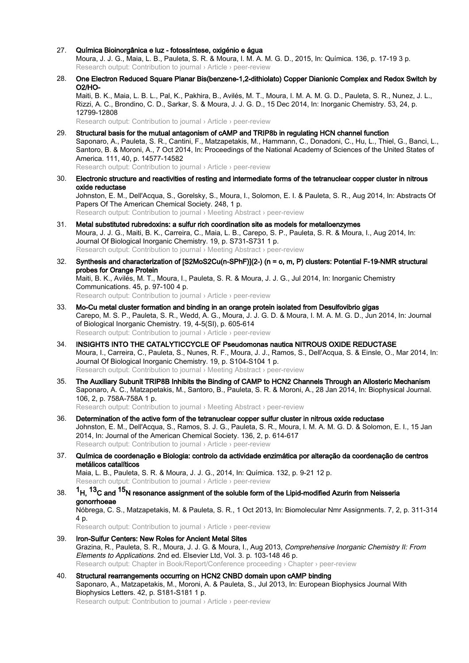27. Química Bioinorgânica e luz - fotossíntese, oxigénio e água

Moura, J. J. G., Maia, L. B., Pauleta, S. R. & Moura, I. M. A. M. G. D., 2015, In: Química. 136, p. 17-19 3 p. Research output: Contribution to journal › Article › peer-review

28. One Electron Reduced Square Planar Bis(benzene-1,2-dithiolato) Copper Dianionic Complex and Redox Switch by O2/HO-Maiti, B. K., Maia, L. B. L., Pal, K., Pakhira, B., Avilés, M. T., Moura, I. M. A. M. G. D., Pauleta, S. R., Nunez, J. L.,

Rizzi, A. C., Brondino, C. D., Sarkar, S. & Moura, J. J. G. D., 15 Dec 2014, In: Inorganic Chemistry. 53, 24, p. 12799-12808

Research output: Contribution to journal › Article › peer-review

- 29. Structural basis for the mutual antagonism of cAMP and TRIP8b in regulating HCN channel function Saponaro, A., Pauleta, S. R., Cantini, F., Matzapetakis, M., Hammann, C., Donadoni, C., Hu, L., Thiel, G., Banci, L., Santoro, B. & Moroni, A., 7 Oct 2014, In: Proceedings of the National Academy of Sciences of the United States of America. 111, 40, p. 14577-14582 Research output: Contribution to journal › Article › peer-review
- 30. Electronic structure and reactivities of resting and intermediate forms of the tetranuclear copper cluster in nitrous oxide reductase Johnston, E. M., Dell'Acqua, S., Gorelsky, S., Moura, I., Solomon, E. I. & Pauleta, S. R., Aug 2014, In: Abstracts Of Papers Of The American Chemical Society. 248, 1 p. Research output: Contribution to journal › Meeting Abstract › peer-review
- 31. Metal substituted rubredoxins: a sulfur rich coordination site as models for metalloenzymes Moura, J. J. G., Maiti, B. K., Carreira, C., Maia, L. B., Carepo, S. P., Pauleta, S. R. & Moura, I., Aug 2014, In: Journal Of Biological Inorganic Chemistry. 19, p. S731-S731 1 p. Research output: Contribution to journal › Meeting Abstract › peer-review
- 32. Synthesis and characterization of [S2MoS2Cu(n-SPhF)](2-) (n = o, m, P) clusters: Potential F-19-NMR structural probes for Orange Protein Maiti, B. K., Avilés, M. T., Moura, I., Pauleta, S. R. & Moura, J. J. G., Jul 2014, In: Inorganic Chemistry Communications. 45, p. 97-100 4 p. Research output: Contribution to journal › Article › peer-review
- 33. Mo-Cu metal cluster formation and binding in an orange protein isolated from Desulfovibrio gigas Carepo, M. S. P., Pauleta, S. R., Wedd, A. G., Moura, J. J. G. D. & Moura, I. M. A. M. G. D., Jun 2014, In: Journal of Biological Inorganic Chemistry. 19, 4-5(SI), p. 605-614 Research output: Contribution to journal › Article › peer-review
- 34. INSIGHTS INTO THE CATALYTICCYCLE OF Pseudomonas nautica NITROUS OXIDE REDUCTASE Moura, I., Carreira, C., Pauleta, S., Nunes, R. F., Moura, J. J., Ramos, S., Dell'Acqua, S. & Einsle, O., Mar 2014, In: Journal Of Biological Inorganic Chemistry. 19, p. S104-S104 1 p. Research output: Contribution to journal › Meeting Abstract › peer-review
- 35. The Auxiliary Subunit TRIP8B Inhibits the Binding of CAMP to HCN2 Channels Through an Allosteric Mechanism Saponaro, A. C., Matzapetakis, M., Santoro, B., Pauleta, S. R. & Moroni, A., 28 Jan 2014, In: Biophysical Journal. 106, 2, p. 758A-758A 1 p. Research output: Contribution to journal › Meeting Abstract › peer-review
- 36. Determination of the active form of the tetranuclear copper sulfur cluster in nitrous oxide reductase Johnston, E. M., Dell'Acqua, S., Ramos, S. J. G., Pauleta, S. R., Moura, I. M. A. M. G. D. & Solomon, E. I., 15 Jan 2014, In: Journal of the American Chemical Society. 136, 2, p. 614-617 Research output: Contribution to journal › Article › peer-review
- 37. Química de coordenação e Biologia: controlo da actividade enzimática por alteração da coordenação de centros metálicos catalíticos Maia, L. B., Pauleta, S. R. & Moura, J. J. G., 2014, In: Química. 132, p. 9-21 12 p. Research output: Contribution to journal › Article › peer-review
- 38. <sup>1</sup>H, <sup>13</sup>C and <sup>15</sup>N resonance assignment of the soluble form of the Lipid-modified Azurin from Neisseria gonorrhoeae Nóbrega, C. S., Matzapetakis, M. & Pauleta, S. R., 1 Oct 2013, In: Biomolecular Nmr Assignments. 7, 2, p. 311-314 4 p. Research output: Contribution to journal › Article › peer-review
- 39. Iron-Sulfur Centers: New Roles for Ancient Metal Sites Grazina, R., Pauleta, S. R., Moura, J. J. G. & Moura, I., Aug 2013, Comprehensive Inorganic Chemistry II: From Elements to Applications. 2nd ed. Elsevier Ltd, Vol. 3. p. 103-148 46 p. Research output: Chapter in Book/Report/Conference proceeding › Chapter › peer-review
- 40. Structural rearrangements occurring on HCN2 CNBD domain upon cAMP binding Saponaro, A., Matzapetakis, M., Moroni, A. & Pauleta, S., Jul 2013, In: European Biophysics Journal With Biophysics Letters. 42, p. S181-S181 1 p. Research output: Contribution to journal › Article › peer-review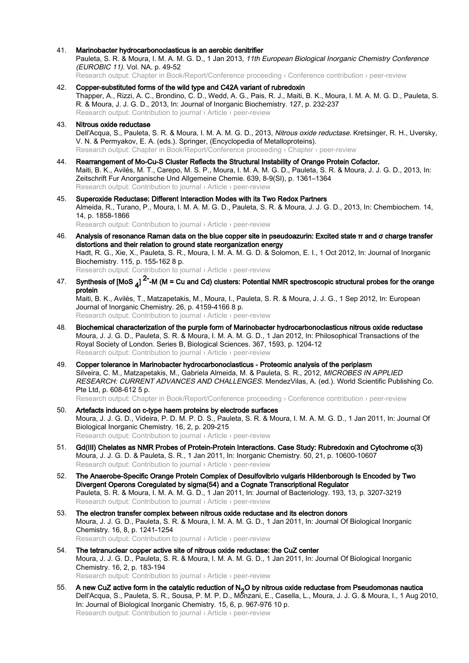- 41. Marinobacter hydrocarbonoclasticus is an aerobic denitrifier Pauleta, S. R. & Moura, I. M. A. M. G. D., 1 Jan 2013, 11th European Biological Inorganic Chemistry Conference (EUROBIC 11). Vol. NA. p. 49-52 Research output: Chapter in Book/Report/Conference proceeding › Conference contribution › peer-review
- 42. Copper-substituted forms of the wild type and C42A variant of rubredoxin Thapper, A., Rizzi, A. C., Brondino, C. D., Wedd, A. G., Pais, R. J., Maiti, B. K., Moura, I. M. A. M. G. D., Pauleta, S. R. & Moura, J. J. G. D., 2013, In: Journal of Inorganic Biochemistry. 127, p. 232-237 Research output: Contribution to journal › Article › peer-review
- 43. Nitrous oxide reductase Dell'Acqua, S., Pauleta, S. R. & Moura, I. M. A. M. G. D., 2013, Nitrous oxide reductase. Kretsinger, R. H., Uversky, V. N. & Permyakov, E. A. (eds.). Springer, (Encyclopedia of Metalloproteins). Research output: Chapter in Book/Report/Conference proceeding › Chapter › peer-review
- 44. Rearrangement of Mo-Cu-S Cluster Reflects the Structural Instability of Orange Protein Cofactor. Maiti, B. K., Avilés, M. T., Carepo, M. S. P., Moura, I. M. A. M. G. D., Pauleta, S. R. & Moura, J. J. G. D., 2013, In: Zeitschrift Fur Anorganische Und Allgemeine Chemie. 639, 8-9(SI), p. 1361–1364 Research output: Contribution to journal › Article › peer-review
- 45. Superoxide Reductase: Different Interaction Modes with its Two Redox Partners Almeida, R., Turano, P., Moura, I. M. A. M. G. D., Pauleta, S. R. & Moura, J. J. G. D., 2013, In: Chembiochem. 14, 14, p. 1858-1866 Research output: Contribution to journal › Article › peer-review
- 46. Analysis of resonance Raman data on the blue copper site in pseudoazurin: Excited state π and σ charge transfer distortions and their relation to ground state reorganization energy Hadt, R. G., Xie, X., Pauleta, S. R., Moura, I. M. A. M. G. D. & Solomon, E. I., 1 Oct 2012, In: Journal of Inorganic Biochemistry. 115, p. 155-162 8 p. Research output: Contribution to journal › Article › peer-review
- 47. Synthesis of [MoS <sub>4</sub>] <sup>2-</sup>-M (M = Cu and Cd) clusters: Potential NMR spectroscopic structural probes for the orange protein

Maiti, B. K., Avilés, T., Matzapetakis, M., Moura, I., Pauleta, S. R. & Moura, J. J. G., 1 Sep 2012, In: European Journal of Inorganic Chemistry. 26, p. 4159-4166 8 p. Research output: Contribution to journal › Article › peer-review

- 48. Biochemical characterization of the purple form of Marinobacter hydrocarbonoclasticus nitrous oxide reductase Moura, J. J. G. D., Pauleta, S. R. & Moura, I. M. A. M. G. D., 1 Jan 2012, In: Philosophical Transactions of the Royal Society of London. Series B, Biological Sciences. 367, 1593, p. 1204-12 Research output: Contribution to journal › Article › peer-review
- 49. Copper tolerance in Marinobacter hydrocarbonoclasticus Proteomic analysis of the periplasm Silveira, C. M., Matzapetakis, M., Gabriela Almeida, M. & Pauleta, S. R., 2012, MICROBES IN APPLIED RESEARCH: CURRENT ADVANCES AND CHALLENGES. MendezVilas, A. (ed.). World Scientific Publishing Co. Pte Ltd, p. 608-612 5 p. Research output: Chapter in Book/Report/Conference proceeding › Conference contribution › peer-review
- 50. Artefacts induced on c-type haem proteins by electrode surfaces Moura, J. J. G. D., Videira, P. D. M. P. D. S., Pauleta, S. R. & Moura, I. M. A. M. G. D., 1 Jan 2011, In: Journal Of Biological Inorganic Chemistry. 16, 2, p. 209-215 Research output: Contribution to journal › Article › peer-review
- 51. Gd(III) Chelates as NMR Probes of Protein-Protein Interactions. Case Study: Rubredoxin and Cytochrome c(3) Moura, J. J. G. D. & Pauleta, S. R., 1 Jan 2011, In: Inorganic Chemistry. 50, 21, p. 10600-10607 Research output: Contribution to journal › Article › peer-review
- 52. The Anaerobe-Specific Orange Protein Complex of Desulfovibrio vulgaris Hildenborough Is Encoded by Two Divergent Operons Coregulated by sigma(54) and a Cognate Transcriptional Regulator Pauleta, S. R. & Moura, I. M. A. M. G. D., 1 Jan 2011, In: Journal of Bacteriology. 193, 13, p. 3207-3219 Research output: Contribution to journal › Article › peer-review
- 53. The electron transfer complex between nitrous oxide reductase and its electron donors Moura, J. J. G. D., Pauleta, S. R. & Moura, I. M. A. M. G. D., 1 Jan 2011, In: Journal Of Biological Inorganic Chemistry. 16, 8, p. 1241-1254 Research output: Contribution to journal › Article › peer-review
- 54. The tetranuclear copper active site of nitrous oxide reductase: the CuZ center Moura, J. J. G. D., Pauleta, S. R. & Moura, I. M. A. M. G. D., 1 Jan 2011, In: Journal Of Biological Inorganic Chemistry. 16, 2, p. 183-194 Research output: Contribution to journal › Article › peer-review
- 55. A new CuZ active form in the catalytic reduction of N<sub>2</sub>O by nitrous oxide reductase from Pseudomonas nautica Dell'Acqua, S., Pauleta, S. R., Sousa, P. M. P. D., Monzani, E., Casella, L., Moura, J. J. G. & Moura, I., 1 Aug 2010, In: Journal of Biological Inorganic Chemistry. 15, 6, p. 967-976 10 p. Research output: Contribution to journal › Article › peer-review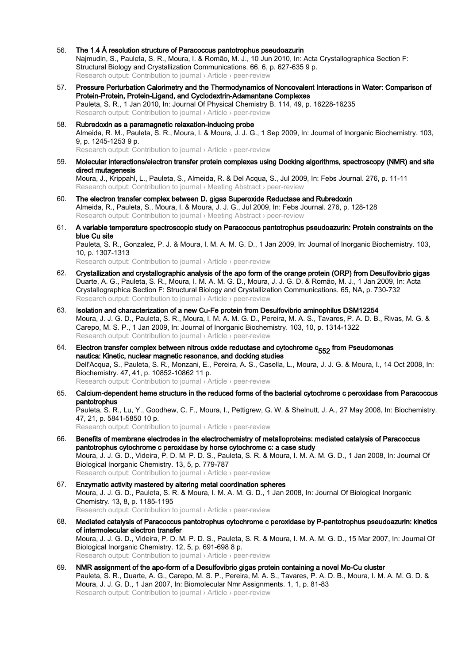- 56. The 1.4 Å resolution structure of Paracoccus pantotrophus pseudoazurin Najmudin, S., Pauleta, S. R., Moura, I. & Romão, M. J., 10 Jun 2010, In: Acta Crystallographica Section F: Structural Biology and Crystallization Communications. 66, 6, p. 627-635 9 p. Research output: Contribution to journal › Article › peer-review
- 57. Pressure Perturbation Calorimetry and the Thermodynamics of Noncovalent Interactions in Water: Comparison of Protein-Protein, Protein-Ligand, and Cyclodextrin-Adamantane Complexes Pauleta, S. R., 1 Jan 2010, In: Journal Of Physical Chemistry B. 114, 49, p. 16228-16235 Research output: Contribution to journal › Article › peer-review
- 58. Rubredoxin as a paramagnetic relaxation-inducing probe Almeida, R. M., Pauleta, S. R., Moura, I. & Moura, J. J. G., 1 Sep 2009, In: Journal of Inorganic Biochemistry. 103, 9, p. 1245-1253 9 p. Research output: Contribution to journal › Article › peer-review
- 59. Molecular interactions/electron transfer protein complexes using Docking algorithms, spectroscopy (NMR) and site direct mutagenesis Moura, J., Krippahl, L., Pauleta, S., Almeida, R. & Del Acqua, S., Jul 2009, In: Febs Journal. 276, p. 11-11 Research output: Contribution to journal › Meeting Abstract › peer-review
- 60. The electron transfer complex between D. gigas Superoxide Reductase and Rubredoxin Almeida, R., Pauleta, S., Moura, I. & Moura, J. J. G., Jul 2009, In: Febs Journal. 276, p. 128-128 Research output: Contribution to journal › Meeting Abstract › peer-review
- 61. A variable temperature spectroscopic study on Paracoccus pantotrophus pseudoazurin: Protein constraints on the blue Cu site

Pauleta, S. R., Gonzalez, P. J. & Moura, I. M. A. M. G. D., 1 Jan 2009, In: Journal of Inorganic Biochemistry. 103, 10, p. 1307-1313

Research output: Contribution to journal › Article › peer-review

- 62. Crystallization and crystallographic analysis of the apo form of the orange protein (ORP) from Desulfovibrio gigas Duarte, A. G., Pauleta, S. R., Moura, I. M. A. M. G. D., Moura, J. J. G. D. & Romão, M. J., 1 Jan 2009, In: Acta Crystallographica Section F: Structural Biology and Crystallization Communications. 65, NA, p. 730-732 Research output: Contribution to journal › Article › peer-review
- 63. Isolation and characterization of a new Cu-Fe protein from Desulfovibrio aminophilus DSM12254 Moura, J. J. G. D., Pauleta, S. R., Moura, I. M. A. M. G. D., Pereira, M. A. S., Tavares, P. A. D. B., Rivas, M. G. & Carepo, M. S. P., 1 Jan 2009, In: Journal of Inorganic Biochemistry. 103, 10, p. 1314-1322 Research output: Contribution to journal › Article › peer-review
- 64. Electron transfer complex between nitrous oxide reductase and cytochrome  $c_{552}$  from Pseudomonas nautica: Kinetic, nuclear magnetic resonance, and docking studies Dell'Acqua, S., Pauleta, S. R., Monzani, E., Pereira, A. S., Casella, L., Moura, J. J. G. & Moura, I., 14 Oct 2008, In: Biochemistry. 47, 41, p. 10852-10862 11 p. Research output: Contribution to journal › Article › peer-review
- 65. Calcium-dependent heme structure in the reduced forms of the bacterial cytochrome c peroxidase from Paracoccus pantotrophus

Pauleta, S. R., Lu, Y., Goodhew, C. F., Moura, I., Pettigrew, G. W. & Shelnutt, J. A., 27 May 2008, In: Biochemistry. 47, 21, p. 5841-5850 10 p.

Research output: Contribution to journal › Article › peer-review

- 66. Benefits of membrane electrodes in the electrochemistry of metalloproteins: mediated catalysis of Paracoccus pantotrophus cytochrome c peroxidase by horse cytochrome c: a case study Moura, J. J. G. D., Videira, P. D. M. P. D. S., Pauleta, S. R. & Moura, I. M. A. M. G. D., 1 Jan 2008, In: Journal Of Biological Inorganic Chemistry. 13, 5, p. 779-787 Research output: Contribution to journal › Article › peer-review
- 67. Enzymatic activity mastered by altering metal coordination spheres Moura, J. J. G. D., Pauleta, S. R. & Moura, I. M. A. M. G. D., 1 Jan 2008, In: Journal Of Biological Inorganic Chemistry. 13, 8, p. 1185-1195 Research output: Contribution to journal › Article › peer-review
- 68. Mediated catalysis of Paracoccus pantotrophus cytochrome c peroxidase by P-pantotrophus pseudoazurin: kinetics of intermolecular electron transfer Moura, J. J. G. D., Videira, P. D. M. P. D. S., Pauleta, S. R. & Moura, I. M. A. M. G. D., 15 Mar 2007, In: Journal Of Biological Inorganic Chemistry. 12, 5, p. 691-698 8 p. Research output: Contribution to journal > Article > peer-review
- 69. NMR assignment of the apo-form of a Desulfovibrio gigas protein containing a novel Mo-Cu cluster Pauleta, S. R., Duarte, A. G., Carepo, M. S. P., Pereira, M. A. S., Tavares, P. A. D. B., Moura, I. M. A. M. G. D. & Moura, J. J. G. D., 1 Jan 2007, In: Biomolecular Nmr Assignments. 1, 1, p. 81-83 Research output: Contribution to journal › Article › peer-review